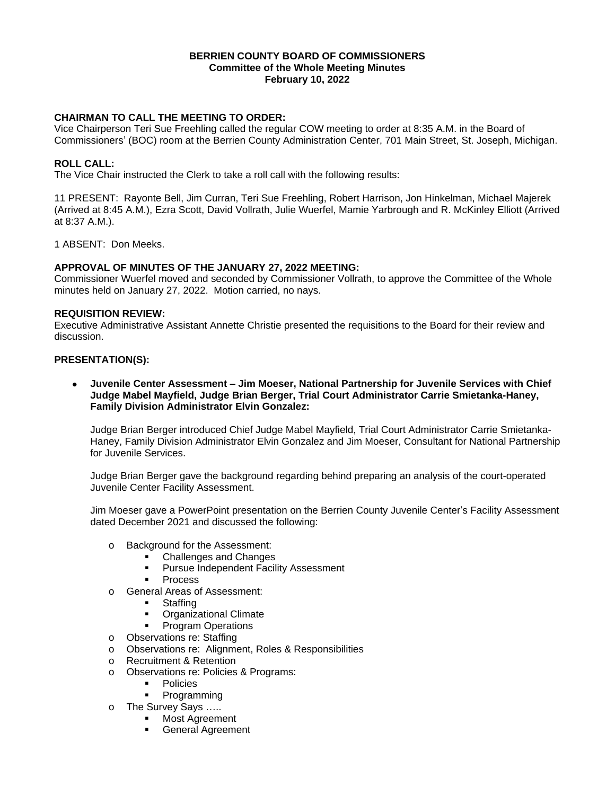### **BERRIEN COUNTY BOARD OF COMMISSIONERS Committee of the Whole Meeting Minutes February 10, 2022**

## **CHAIRMAN TO CALL THE MEETING TO ORDER:**

Vice Chairperson Teri Sue Freehling called the regular COW meeting to order at 8:35 A.M. in the Board of Commissioners' (BOC) room at the Berrien County Administration Center, 701 Main Street, St. Joseph, Michigan.

## **ROLL CALL:**

The Vice Chair instructed the Clerk to take a roll call with the following results:

11 PRESENT: Rayonte Bell, Jim Curran, Teri Sue Freehling, Robert Harrison, Jon Hinkelman, Michael Majerek (Arrived at 8:45 A.M.), Ezra Scott, David Vollrath, Julie Wuerfel, Mamie Yarbrough and R. McKinley Elliott (Arrived at 8:37 A.M.).

1 ABSENT: Don Meeks.

## **APPROVAL OF MINUTES OF THE JANUARY 27, 2022 MEETING:**

Commissioner Wuerfel moved and seconded by Commissioner Vollrath, to approve the Committee of the Whole minutes held on January 27, 2022. Motion carried, no nays.

### **REQUISITION REVIEW:**

Executive Administrative Assistant Annette Christie presented the requisitions to the Board for their review and discussion.

### **PRESENTATION(S):**

 **Juvenile Center Assessment – Jim Moeser, National Partnership for Juvenile Services with Chief Judge Mabel Mayfield, Judge Brian Berger, Trial Court Administrator Carrie Smietanka-Haney, Family Division Administrator Elvin Gonzalez:**

Judge Brian Berger introduced Chief Judge Mabel Mayfield, Trial Court Administrator Carrie Smietanka-Haney, Family Division Administrator Elvin Gonzalez and Jim Moeser, Consultant for National Partnership for Juvenile Services.

Judge Brian Berger gave the background regarding behind preparing an analysis of the court-operated Juvenile Center Facility Assessment.

Jim Moeser gave a PowerPoint presentation on the Berrien County Juvenile Center's Facility Assessment dated December 2021 and discussed the following:

- o Background for the Assessment:
	- Challenges and Changes
	- Pursue Independent Facility Assessment
	- **Process**
- o General Areas of Assessment:
	- **Staffing**
	- **•** Organizational Climate
	- **•** Program Operations
- o Observations re: Staffing
- o Observations re: Alignment, Roles & Responsibilities
- o Recruitment & Retention
- o Observations re: Policies & Programs:
	- **Policies**<br>**Program**
	- Programming
- o The Survey Says …..
	- Most Agreement
	- **General Agreement**